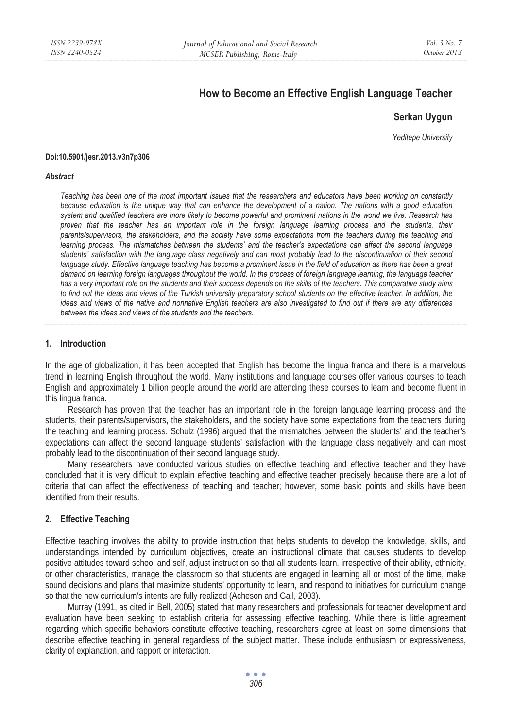# **How to Become an Effective English Language Teacher**

# **Serkan Uygun**

*Yeditepe University* 

#### **Doi:10.5901/jesr.2013.v3n7p306**

#### *Abstract*

*Teaching has been one of the most important issues that the researchers and educators have been working on constantly because education is the unique way that can enhance the development of a nation. The nations with a good education system and qualified teachers are more likely to become powerful and prominent nations in the world we live. Research has proven that the teacher has an important role in the foreign language learning process and the students, their parents/supervisors, the stakeholders, and the society have some expectations from the teachers during the teaching and learning process. The mismatches between the students' and the teacher's expectations can affect the second language students' satisfaction with the language class negatively and can most probably lead to the discontinuation of their second language study. Effective language teaching has become a prominent issue in the field of education as there has been a great demand on learning foreign languages throughout the world. In the process of foreign language learning, the language teacher has a very important role on the students and their success depends on the skills of the teachers. This comparative study aims*  to find out the ideas and views of the Turkish university preparatory school students on the effective teacher. In addition, the *ideas and views of the native and nonnative English teachers are also investigated to find out if there are any differences between the ideas and views of the students and the teachers.* 

# **1. Introduction**

In the age of globalization, it has been accepted that English has become the lingua franca and there is a marvelous trend in learning English throughout the world. Many institutions and language courses offer various courses to teach English and approximately 1 billion people around the world are attending these courses to learn and become fluent in this lingua franca.

Research has proven that the teacher has an important role in the foreign language learning process and the students, their parents/supervisors, the stakeholders, and the society have some expectations from the teachers during the teaching and learning process. Schulz (1996) argued that the mismatches between the students' and the teacher's expectations can affect the second language students' satisfaction with the language class negatively and can most probably lead to the discontinuation of their second language study.

Many researchers have conducted various studies on effective teaching and effective teacher and they have concluded that it is very difficult to explain effective teaching and effective teacher precisely because there are a lot of criteria that can affect the effectiveness of teaching and teacher; however, some basic points and skills have been identified from their results.

### **2. Effective Teaching**

Effective teaching involves the ability to provide instruction that helps students to develop the knowledge, skills, and understandings intended by curriculum objectives, create an instructional climate that causes students to develop positive attitudes toward school and self, adjust instruction so that all students learn, irrespective of their ability, ethnicity, or other characteristics, manage the classroom so that students are engaged in learning all or most of the time, make sound decisions and plans that maximize students' opportunity to learn, and respond to initiatives for curriculum change so that the new curriculum's intents are fully realized (Acheson and Gall, 2003).

Murray (1991, as cited in Bell, 2005) stated that many researchers and professionals for teacher development and evaluation have been seeking to establish criteria for assessing effective teaching. While there is little agreement regarding which specific behaviors constitute effective teaching, researchers agree at least on some dimensions that describe effective teaching in general regardless of the subject matter. These include enthusiasm or expressiveness, clarity of explanation, and rapport or interaction.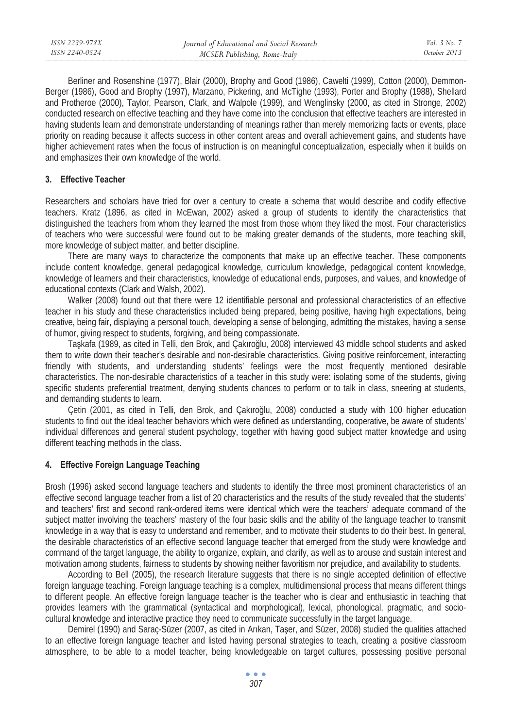| ISSN 2239-978X | Journal of Educational and Social Research | Vol. 3 No. 7 |
|----------------|--------------------------------------------|--------------|
| ISSN 2240-0524 | MCSER Publishing, Rome-Italy               | October 2013 |
|                |                                            |              |

Berliner and Rosenshine (1977), Blair (2000), Brophy and Good (1986), Cawelti (1999), Cotton (2000), Demmon-Berger (1986), Good and Brophy (1997), Marzano, Pickering, and McTighe (1993), Porter and Brophy (1988), Shellard and Protheroe (2000), Taylor, Pearson, Clark, and Walpole (1999), and Wenglinsky (2000, as cited in Stronge, 2002) conducted research on effective teaching and they have come into the conclusion that effective teachers are interested in having students learn and demonstrate understanding of meanings rather than merely memorizing facts or events, place priority on reading because it affects success in other content areas and overall achievement gains, and students have higher achievement rates when the focus of instruction is on meaningful conceptualization, especially when it builds on and emphasizes their own knowledge of the world.

## **3. Effective Teacher**

Researchers and scholars have tried for over a century to create a schema that would describe and codify effective teachers. Kratz (1896, as cited in McEwan, 2002) asked a group of students to identify the characteristics that distinguished the teachers from whom they learned the most from those whom they liked the most. Four characteristics of teachers who were successful were found out to be making greater demands of the students, more teaching skill, more knowledge of subject matter, and better discipline.

There are many ways to characterize the components that make up an effective teacher. These components include content knowledge, general pedagogical knowledge, curriculum knowledge, pedagogical content knowledge, knowledge of learners and their characteristics, knowledge of educational ends, purposes, and values, and knowledge of educational contexts (Clark and Walsh, 2002).

Walker (2008) found out that there were 12 identifiable personal and professional characteristics of an effective teacher in his study and these characteristics included being prepared, being positive, having high expectations, being creative, being fair, displaying a personal touch, developing a sense of belonging, admitting the mistakes, having a sense of humor, giving respect to students, forgiving, and being compassionate.

Taskafa (1989, as cited in Telli, den Brok, and Cakıroğlu, 2008) interviewed 43 middle school students and asked them to write down their teacher's desirable and non-desirable characteristics. Giving positive reinforcement, interacting friendly with students, and understanding students' feelings were the most frequently mentioned desirable characteristics. The non-desirable characteristics of a teacher in this study were: isolating some of the students, giving specific students preferential treatment, denying students chances to perform or to talk in class, sneering at students, and demanding students to learn.

Cetin (2001, as cited in Telli, den Brok, and Cakıroğlu, 2008) conducted a study with 100 higher education students to find out the ideal teacher behaviors which were defined as understanding, cooperative, be aware of students' individual differences and general student psychology, together with having good subject matter knowledge and using different teaching methods in the class.

# **4. Effective Foreign Language Teaching**

Brosh (1996) asked second language teachers and students to identify the three most prominent characteristics of an effective second language teacher from a list of 20 characteristics and the results of the study revealed that the students' and teachers' first and second rank-ordered items were identical which were the teachers' adequate command of the subject matter involving the teachers' mastery of the four basic skills and the ability of the language teacher to transmit knowledge in a way that is easy to understand and remember, and to motivate their students to do their best. In general, the desirable characteristics of an effective second language teacher that emerged from the study were knowledge and command of the target language, the ability to organize, explain, and clarify, as well as to arouse and sustain interest and motivation among students, fairness to students by showing neither favoritism nor prejudice, and availability to students.

According to Bell (2005), the research literature suggests that there is no single accepted definition of effective foreign language teaching. Foreign language teaching is a complex, multidimensional process that means different things to different people. An effective foreign language teacher is the teacher who is clear and enthusiastic in teaching that provides learners with the grammatical (syntactical and morphological), lexical, phonological, pragmatic, and sociocultural knowledge and interactive practice they need to communicate successfully in the target language.

Demirel (1990) and Sarac-Süzer (2007, as cited in Arıkan, Taser, and Süzer, 2008) studied the qualities attached to an effective foreign language teacher and listed having personal strategies to teach, creating a positive classroom atmosphere, to be able to a model teacher, being knowledgeable on target cultures, possessing positive personal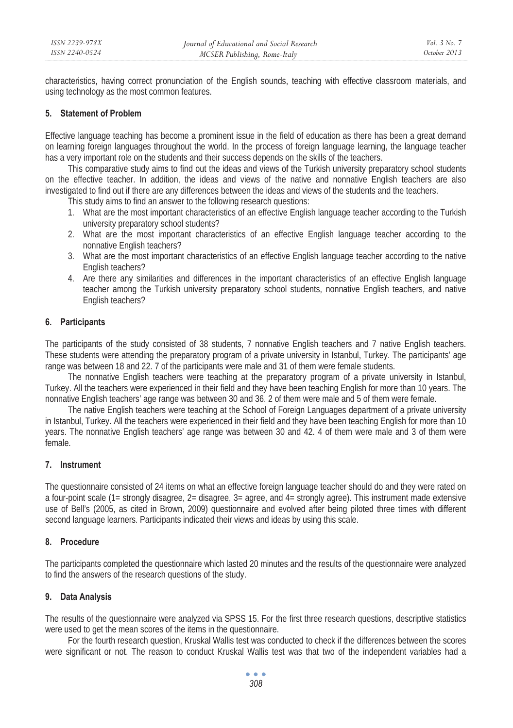characteristics, having correct pronunciation of the English sounds, teaching with effective classroom materials, and using technology as the most common features.

## **5. Statement of Problem**

Effective language teaching has become a prominent issue in the field of education as there has been a great demand on learning foreign languages throughout the world. In the process of foreign language learning, the language teacher has a very important role on the students and their success depends on the skills of the teachers.

This comparative study aims to find out the ideas and views of the Turkish university preparatory school students on the effective teacher. In addition, the ideas and views of the native and nonnative English teachers are also investigated to find out if there are any differences between the ideas and views of the students and the teachers.

This study aims to find an answer to the following research questions:

- 1. What are the most important characteristics of an effective English language teacher according to the Turkish university preparatory school students?
- 2. What are the most important characteristics of an effective English language teacher according to the nonnative English teachers?
- 3. What are the most important characteristics of an effective English language teacher according to the native English teachers?
- 4. Are there any similarities and differences in the important characteristics of an effective English language teacher among the Turkish university preparatory school students, nonnative English teachers, and native English teachers?

### **6. Participants**

The participants of the study consisted of 38 students, 7 nonnative English teachers and 7 native English teachers. These students were attending the preparatory program of a private university in Istanbul, Turkey. The participants' age range was between 18 and 22. 7 of the participants were male and 31 of them were female students.

The nonnative English teachers were teaching at the preparatory program of a private university in Istanbul, Turkey. All the teachers were experienced in their field and they have been teaching English for more than 10 years. The nonnative English teachers' age range was between 30 and 36. 2 of them were male and 5 of them were female.

The native English teachers were teaching at the School of Foreign Languages department of a private university in Istanbul, Turkey. All the teachers were experienced in their field and they have been teaching English for more than 10 years. The nonnative English teachers' age range was between 30 and 42. 4 of them were male and 3 of them were female.

### **7. Instrument**

The questionnaire consisted of 24 items on what an effective foreign language teacher should do and they were rated on a four-point scale (1= strongly disagree, 2= disagree, 3= agree, and 4= strongly agree). This instrument made extensive use of Bell's (2005, as cited in Brown, 2009) questionnaire and evolved after being piloted three times with different second language learners. Participants indicated their views and ideas by using this scale.

# **8. Procedure**

The participants completed the questionnaire which lasted 20 minutes and the results of the questionnaire were analyzed to find the answers of the research questions of the study.

# **9. Data Analysis**

The results of the questionnaire were analyzed via SPSS 15. For the first three research questions, descriptive statistics were used to get the mean scores of the items in the questionnaire.

For the fourth research question, Kruskal Wallis test was conducted to check if the differences between the scores were significant or not. The reason to conduct Kruskal Wallis test was that two of the independent variables had a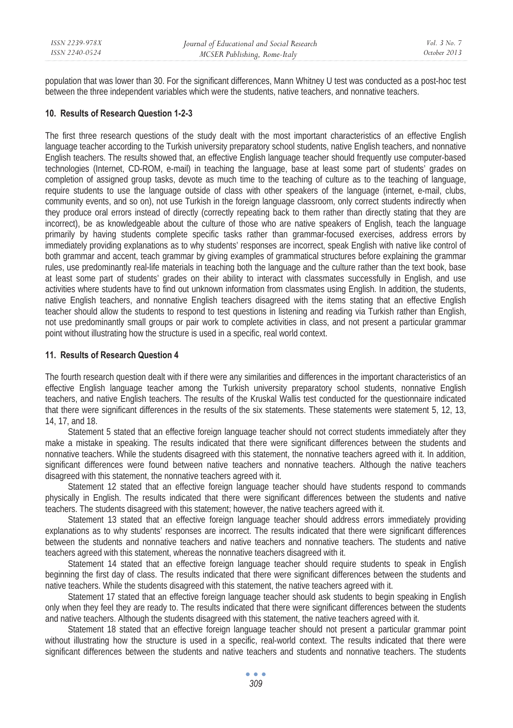population that was lower than 30. For the significant differences, Mann Whitney U test was conducted as a post-hoc test between the three independent variables which were the students, native teachers, and nonnative teachers.

## **10. Results of Research Question 1-2-3**

The first three research questions of the study dealt with the most important characteristics of an effective English language teacher according to the Turkish university preparatory school students, native English teachers, and nonnative English teachers. The results showed that, an effective English language teacher should frequently use computer-based technologies (Internet, CD-ROM, e-mail) in teaching the language, base at least some part of students' grades on completion of assigned group tasks, devote as much time to the teaching of culture as to the teaching of language, require students to use the language outside of class with other speakers of the language (internet, e-mail, clubs, community events, and so on), not use Turkish in the foreign language classroom, only correct students indirectly when they produce oral errors instead of directly (correctly repeating back to them rather than directly stating that they are incorrect), be as knowledgeable about the culture of those who are native speakers of English, teach the language primarily by having students complete specific tasks rather than grammar-focused exercises, address errors by immediately providing explanations as to why students' responses are incorrect, speak English with native like control of both grammar and accent, teach grammar by giving examples of grammatical structures before explaining the grammar rules, use predominantly real-life materials in teaching both the language and the culture rather than the text book, base at least some part of students' grades on their ability to interact with classmates successfully in English, and use activities where students have to find out unknown information from classmates using English. In addition, the students, native English teachers, and nonnative English teachers disagreed with the items stating that an effective English teacher should allow the students to respond to test questions in listening and reading via Turkish rather than English, not use predominantly small groups or pair work to complete activities in class, and not present a particular grammar point without illustrating how the structure is used in a specific, real world context.

### **11. Results of Research Question 4**

The fourth research question dealt with if there were any similarities and differences in the important characteristics of an effective English language teacher among the Turkish university preparatory school students, nonnative English teachers, and native English teachers. The results of the Kruskal Wallis test conducted for the questionnaire indicated that there were significant differences in the results of the six statements. These statements were statement 5, 12, 13, 14, 17, and 18.

Statement 5 stated that an effective foreign language teacher should not correct students immediately after they make a mistake in speaking. The results indicated that there were significant differences between the students and nonnative teachers. While the students disagreed with this statement, the nonnative teachers agreed with it. In addition, significant differences were found between native teachers and nonnative teachers. Although the native teachers disagreed with this statement, the nonnative teachers agreed with it.

Statement 12 stated that an effective foreign language teacher should have students respond to commands physically in English. The results indicated that there were significant differences between the students and native teachers. The students disagreed with this statement; however, the native teachers agreed with it.

Statement 13 stated that an effective foreign language teacher should address errors immediately providing explanations as to why students' responses are incorrect. The results indicated that there were significant differences between the students and nonnative teachers and native teachers and nonnative teachers. The students and native teachers agreed with this statement, whereas the nonnative teachers disagreed with it.

Statement 14 stated that an effective foreign language teacher should require students to speak in English beginning the first day of class. The results indicated that there were significant differences between the students and native teachers. While the students disagreed with this statement, the native teachers agreed with it.

Statement 17 stated that an effective foreign language teacher should ask students to begin speaking in English only when they feel they are ready to. The results indicated that there were significant differences between the students and native teachers. Although the students disagreed with this statement, the native teachers agreed with it.

Statement 18 stated that an effective foreign language teacher should not present a particular grammar point without illustrating how the structure is used in a specific, real-world context. The results indicated that there were significant differences between the students and native teachers and students and nonnative teachers. The students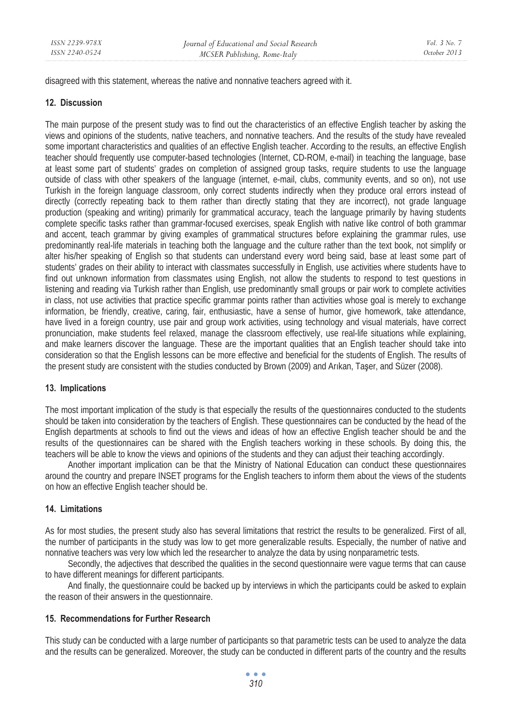disagreed with this statement, whereas the native and nonnative teachers agreed with it.

#### **12. Discussion**

The main purpose of the present study was to find out the characteristics of an effective English teacher by asking the views and opinions of the students, native teachers, and nonnative teachers. And the results of the study have revealed some important characteristics and qualities of an effective English teacher. According to the results, an effective English teacher should frequently use computer-based technologies (Internet, CD-ROM, e-mail) in teaching the language, base at least some part of students' grades on completion of assigned group tasks, require students to use the language outside of class with other speakers of the language (internet, e-mail, clubs, community events, and so on), not use Turkish in the foreign language classroom, only correct students indirectly when they produce oral errors instead of directly (correctly repeating back to them rather than directly stating that they are incorrect), not grade language production (speaking and writing) primarily for grammatical accuracy, teach the language primarily by having students complete specific tasks rather than grammar-focused exercises, speak English with native like control of both grammar and accent, teach grammar by giving examples of grammatical structures before explaining the grammar rules, use predominantly real-life materials in teaching both the language and the culture rather than the text book, not simplify or alter his/her speaking of English so that students can understand every word being said, base at least some part of students' grades on their ability to interact with classmates successfully in English, use activities where students have to find out unknown information from classmates using English, not allow the students to respond to test questions in listening and reading via Turkish rather than English, use predominantly small groups or pair work to complete activities in class, not use activities that practice specific grammar points rather than activities whose goal is merely to exchange information, be friendly, creative, caring, fair, enthusiastic, have a sense of humor, give homework, take attendance, have lived in a foreign country, use pair and group work activities, using technology and visual materials, have correct pronunciation, make students feel relaxed, manage the classroom effectively, use real-life situations while explaining, and make learners discover the language. These are the important qualities that an English teacher should take into consideration so that the English lessons can be more effective and beneficial for the students of English. The results of the present study are consistent with the studies conducted by Brown (2009) and Arıkan, Taser, and Süzer (2008).

### **13. Implications**

The most important implication of the study is that especially the results of the questionnaires conducted to the students should be taken into consideration by the teachers of English. These questionnaires can be conducted by the head of the English departments at schools to find out the views and ideas of how an effective English teacher should be and the results of the questionnaires can be shared with the English teachers working in these schools. By doing this, the teachers will be able to know the views and opinions of the students and they can adjust their teaching accordingly.

Another important implication can be that the Ministry of National Education can conduct these questionnaires around the country and prepare INSET programs for the English teachers to inform them about the views of the students on how an effective English teacher should be.

### **14. Limitations**

As for most studies, the present study also has several limitations that restrict the results to be generalized. First of all, the number of participants in the study was low to get more generalizable results. Especially, the number of native and nonnative teachers was very low which led the researcher to analyze the data by using nonparametric tests.

Secondly, the adjectives that described the qualities in the second questionnaire were vague terms that can cause to have different meanings for different participants.

And finally, the questionnaire could be backed up by interviews in which the participants could be asked to explain the reason of their answers in the questionnaire.

#### **15. Recommendations for Further Research**

This study can be conducted with a large number of participants so that parametric tests can be used to analyze the data and the results can be generalized. Moreover, the study can be conducted in different parts of the country and the results